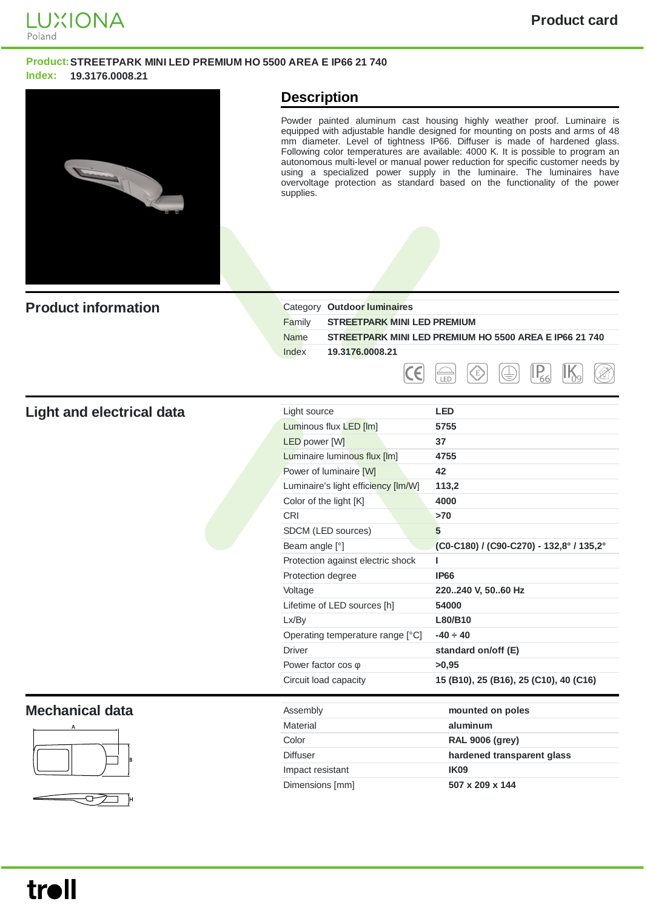

## **Product:STREETPARK MINI LED PREMIUM HO 5500 AREA E IP66 21 740 Index: 19.3176.0008.21**



## **Description**

Powder painted aluminum cast housing highly weather proof. Luminaire is equipped with adjustable handle designed for mounting on posts and arms of 48 mm diameter. Level of tightness IP66. Diffuser is made of hardened glass. Following color temperatures are available: 4000 K. It is possible to program an autonomous multi-level or manual power reduction for specific customer needs by using a specialized power supply in the luminaire. The luminaires have overvoltage protection as standard based on the functionality of the power supplies.

| <b>Product information</b>       | Category Outdoor luminaires                  |                                                        |
|----------------------------------|----------------------------------------------|--------------------------------------------------------|
|                                  | Family<br><b>STREETPARK MINI LED PREMIUM</b> |                                                        |
|                                  | <b>Name</b>                                  | STREETPARK MINI LED PREMIUM HO 5500 AREA E IP66 21 740 |
|                                  | Index<br>19.3176.0008.21                     |                                                        |
|                                  | Ε                                            | $ I_{\underline{66}} $<br>ζE,<br>₩<br>LED              |
| <b>Light and electrical data</b> | Light source                                 | <b>LED</b>                                             |
|                                  | Luminous flux LED [Im]                       | 5755                                                   |
|                                  | <b>LED</b> power [W]                         | 37                                                     |
|                                  | <b>Luminaire luminous flux [lm]</b>          | 4755                                                   |
|                                  | Power of luminaire [W]                       | 42                                                     |
|                                  | Luminaire's light efficiency [Im/W]          | 113,2                                                  |
|                                  | Color of the light [K]                       | 4000                                                   |
|                                  | CRI                                          | $>70$                                                  |
|                                  | SDCM (LED sources)                           | 5                                                      |
|                                  | Beam angle [°]                               | (C0-C180) / (C90-C270) - 132,8° / 135,2°               |
|                                  | Protection against electric shock            | т                                                      |
|                                  | Protection degree                            | <b>IP66</b>                                            |
|                                  | Voltage                                      | 220240 V, 5060 Hz                                      |
|                                  | Lifetime of LED sources [h]                  | 54000                                                  |
|                                  | Lx/By                                        | L80/B10                                                |
|                                  | Operating temperature range [°C]             | $-40 \div 40$                                          |
|                                  | <b>Driver</b>                                | standard on/off (E)                                    |
|                                  | Power factor $cos \varphi$                   | >0,95                                                  |
|                                  | Circuit load capacity                        | 15 (B10), 25 (B16), 25 (C10), 40 (C16)                 |
| <b>Mechanical data</b>           | Assembly                                     | mounted on poles                                       |
|                                  | Material                                     | aluminum                                               |
|                                  | Color                                        | <b>RAL 9006 (grey)</b>                                 |
|                                  | Diffuser                                     | hardened transparent glass                             |
|                                  | Impact resistant                             | <b>IK09</b>                                            |
|                                  | Dimensions [mm]                              | 507 x 209 x 144                                        |

ᡋ  $\Box$ ĴН